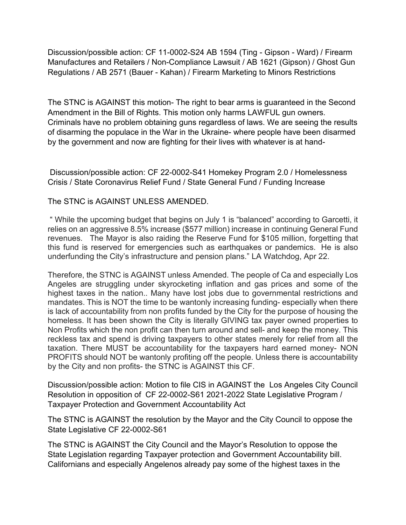Discussion/possible action: CF 11-0002-S24 AB 1594 (Ting - Gipson - Ward) / Firearm Manufactures and Retailers / Non-Compliance Lawsuit / AB 1621 (Gipson) / Ghost Gun Regulations / AB 2571 (Bauer - Kahan) / Firearm Marketing to Minors Restrictions

The STNC is AGAINST this motion- The right to bear arms is guaranteed in the Second Amendment in the Bill of Rights. This motion only harms LAWFUL gun owners. Criminals have no problem obtaining guns regardless of laws. We are seeing the results of disarming the populace in the War in the Ukraine- where people have been disarmed by the government and now are fighting for their lives with whatever is at hand-

Discussion/possible action: CF 22-0002-S41 Homekey Program 2.0 / Homelessness Crisis / State Coronavirus Relief Fund / State General Fund / Funding Increase

## The STNC is AGAINST UNLESS AMENDED.

" While the upcoming budget that begins on July 1 is "balanced" according to Garcetti, it relies on an aggressive 8.5% increase (\$577 million) increase in continuing General Fund revenues. The Mayor is also raiding the Reserve Fund for \$105 million, forgetting that this fund is reserved for emergencies such as earthquakes or pandemics. He is also underfunding the City's infrastructure and pension plans." LA Watchdog, Apr 22.

Therefore, the STNC is AGAINST unless Amended. The people of Ca and especially Los Angeles are struggling under skyrocketing inflation and gas prices and some of the highest taxes in the nation.. Many have lost jobs due to governmental restrictions and mandates. This is NOT the time to be wantonly increasing funding- especially when there is lack of accountability from non profits funded by the City for the purpose of housing the homeless. It has been shown the City is literally GIVING tax payer owned properties to Non Profits which the non profit can then turn around and sell- and keep the money. This reckless tax and spend is driving taxpayers to other states merely for relief from all the taxation. There MUST be accountability for the taxpayers hard earned money- NON PROFITS should NOT be wantonly profiting off the people. Unless there is accountability by the City and non profits- the STNC is AGAINST this CF.

Discussion/possible action: Motion to file CIS in AGAINST the Los Angeles City Council Resolution in opposition of CF 22-0002-S61 2021-2022 State Legislative Program / Taxpayer Protection and Government Accountability Act

The STNC is AGAINST the resolution by the Mayor and the City Council to oppose the State Legislative CF 22-0002-S61

The STNC is AGAINST the City Council and the Mayor's Resolution to oppose the State Legislation regarding Taxpayer protection and Government Accountability bill. Californians and especially Angelenos already pay some of the highest taxes in the